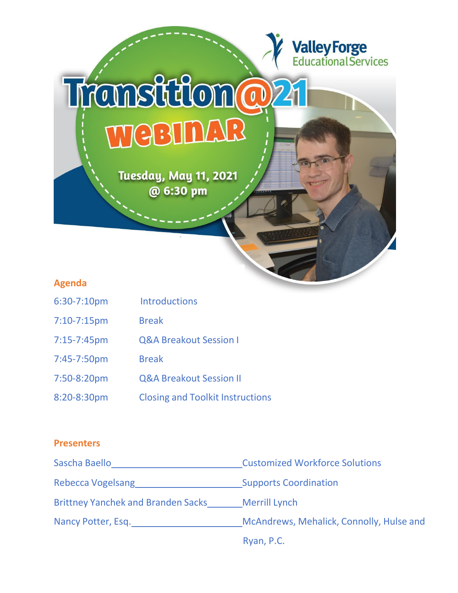

# **Agenda**

- 6:30-7:10pm Introductions
- 7:10-7:15pm Break
- 7:15-7:45pm Q&A Breakout Session I
- 7:45-7:50pm Break
- 7:50-8:20pm Q&A Breakout Session II
- 8:20-8:30pm Closing and Toolkit Instructions

## **Presenters**

| Sascha Baello                             | <b>Customized Workforce Solutions</b>    |
|-------------------------------------------|------------------------------------------|
| Rebecca Vogelsang                         | <b>Supports Coordination</b>             |
| <b>Brittney Yanchek and Branden Sacks</b> | <b>Merrill Lynch</b>                     |
| Nancy Potter, Esq.                        | McAndrews, Mehalick, Connolly, Hulse and |
|                                           | Ryan, P.C.                               |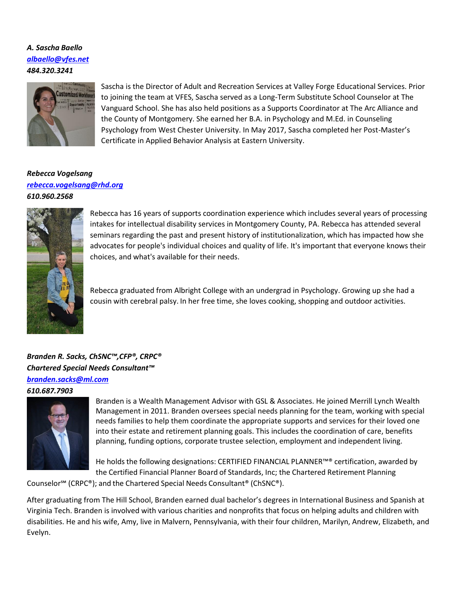*A. Sascha Baello [albaello@vfes.net](mailto:albaello@vfes.net) 484.320.3241*



Sascha is the Director of Adult and Recreation Services at Valley Forge Educational Services. Prior to joining the team at VFES, Sascha served as a Long-Term Substitute School Counselor at The Vanguard School. She has also held positions as a Supports Coordinator at The Arc Alliance and the County of Montgomery. She earned her B.A. in Psychology and M.Ed. in Counseling Psychology from West Chester University. In May 2017, Sascha completed her Post-Master's Certificate in Applied Behavior Analysis at Eastern University.

#### *Rebecca Vogelsang [rebecca.vogelsang@rhd.org](mailto:rebecca.vogelsang@rhd.org) 610.960.2568*



Rebecca has 16 years of supports coordination experience which includes several years of processing intakes for intellectual disability services in Montgomery County, PA. Rebecca has attended several seminars regarding the past and present history of institutionalization, which has impacted how she advocates for people's individual choices and quality of life. It's important that everyone knows their choices, and what's available for their needs.

Rebecca graduated from Albright College with an undergrad in Psychology. Growing up she had a cousin with cerebral palsy. In her free time, she loves cooking, shopping and outdoor activities.

# *Branden R. Sacks, ChSNC™,CFP®, CRPC® Chartered Special Needs Consultant™ [branden.sacks@ml.com](mailto:branden.sacks@ml.com)*

*610.687.7903*



Branden is a Wealth Management Advisor with GSL & Associates. He joined Merrill Lynch Wealth Management in 2011. Branden oversees special needs planning for the team, working with special needs families to help them coordinate the appropriate supports and services for their loved one into their estate and retirement planning goals. This includes the coordination of care, benefits planning, funding options, corporate trustee selection, employment and independent living.

He holds the following designations: CERTIFIED FINANCIAL PLANNER™® certification, awarded by the Certified Financial Planner Board of Standards, Inc; the Chartered Retirement Planning

Counselor℠ (CRPC®); and the Chartered Special Needs Consultant® (ChSNC®).

After graduating from The Hill School, Branden earned dual bachelor's degrees in International Business and Spanish at Virginia Tech. Branden is involved with various charities and nonprofits that focus on helping adults and children with disabilities. He and his wife, Amy, live in Malvern, Pennsylvania, with their four children, Marilyn, Andrew, Elizabeth, and Evelyn.